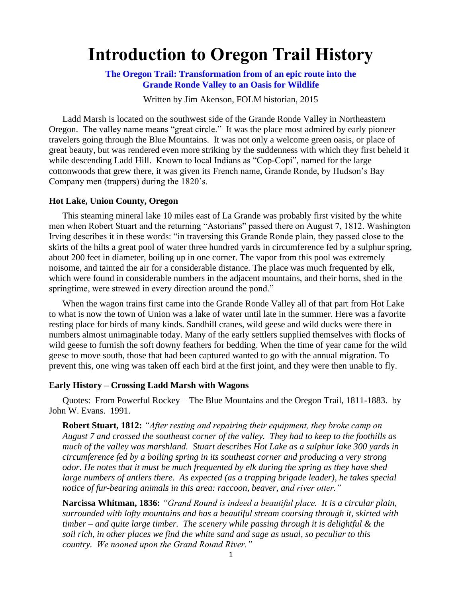# **Introduction to Oregon Trail History**

**The Oregon Trail: Transformation from of an epic route into the Grande Ronde Valley to an Oasis for Wildlife**

Written by Jim Akenson, FOLM historian, 2015

Ladd Marsh is located on the southwest side of the Grande Ronde Valley in Northeastern Oregon. The valley name means "great circle." It was the place most admired by early pioneer travelers going through the Blue Mountains. It was not only a welcome green oasis, or place of great beauty, but was rendered even more striking by the suddenness with which they first beheld it while descending Ladd Hill. Known to local Indians as "Cop-Copi", named for the large cottonwoods that grew there, it was given its French name, Grande Ronde, by Hudson's Bay Company men (trappers) during the 1820's.

### **Hot Lake, Union County, Oregon**

This steaming mineral lake 10 miles east of La Grande was probably first visited by the white men when Robert Stuart and the returning "Astorians" passed there on August 7, 1812. Washington Irving describes it in these words: "in traversing this Grande Ronde plain, they passed close to the skirts of the hilts a great pool of water three hundred yards in circumference fed by a sulphur spring, about 200 feet in diameter, boiling up in one corner. The vapor from this pool was extremely noisome, and tainted the air for a considerable distance. The place was much frequented by elk, which were found in considerable numbers in the adjacent mountains, and their horns, shed in the springtime, were strewed in every direction around the pond."

When the wagon trains first came into the Grande Ronde Valley all of that part from Hot Lake to what is now the town of Union was a lake of water until late in the summer. Here was a favorite resting place for birds of many kinds. Sandhill cranes, wild geese and wild ducks were there in numbers almost unimaginable today. Many of the early settlers supplied themselves with flocks of wild geese to furnish the soft downy feathers for bedding. When the time of year came for the wild geese to move south, those that had been captured wanted to go with the annual migration. To prevent this, one wing was taken off each bird at the first joint, and they were then unable to fly.

#### **Early History – Crossing Ladd Marsh with Wagons**

Quotes: From Powerful Rockey – The Blue Mountains and the Oregon Trail, 1811-1883. by John W. Evans. 1991.

**Robert Stuart, 1812:** *"After resting and repairing their equipment, they broke camp on August 7 and crossed the southeast corner of the valley. They had to keep to the foothills as much of the valley was marshland. Stuart describes Hot Lake as a sulphur lake 300 yards in circumference fed by a boiling spring in its southeast corner and producing a very strong odor. He notes that it must be much frequented by elk during the spring as they have shed large numbers of antlers there. As expected (as a trapping brigade leader), he takes special notice of fur-bearing animals in this area: raccoon, beaver, and river otter."*

**Narcissa Whitman, 1836:** *"Grand Round is indeed a beautiful place. It is a circular plain, surrounded with lofty mountains and has a beautiful stream coursing through it, skirted with timber – and quite large timber. The scenery while passing through it is delightful & the soil rich, in other places we find the white sand and sage as usual, so peculiar to this country. We nooned upon the Grand Round River."*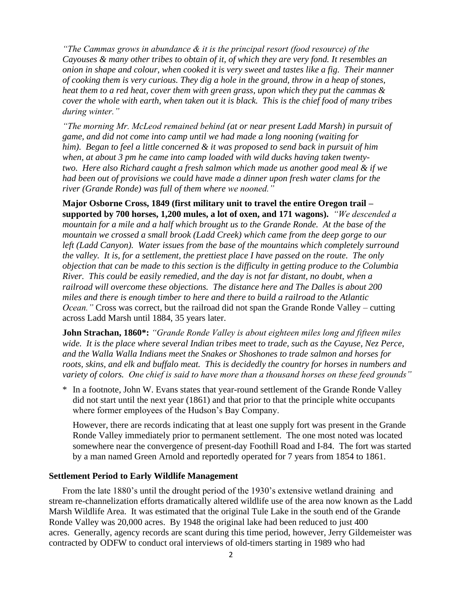*"The Cammas grows in abundance & it is the principal resort (food resource) of the Cayouses & many other tribes to obtain of it, of which they are very fond. It resembles an onion in shape and colour, when cooked it is very sweet and tastes like a fig. Their manner of cooking them is very curious. They dig a hole in the ground, throw in a heap of stones, heat them to a red heat, cover them with green grass, upon which they put the cammas & cover the whole with earth, when taken out it is black. This is the chief food of many tribes during winter."*

*"The morning Mr. McLeod remained behind (at or near present Ladd Marsh) in pursuit of game, and did not come into camp until we had made a long nooning (waiting for him). Began to feel a little concerned & it was proposed to send back in pursuit of him when, at about 3 pm he came into camp loaded with wild ducks having taken twentytwo. Here also Richard caught a fresh salmon which made us another good meal & if we had been out of provisions we could have made a dinner upon fresh water clams for the river (Grande Ronde) was full of them where we nooned."*

**Major Osborne Cross, 1849 (first military unit to travel the entire Oregon trail – supported by 700 horses, 1,200 mules, a lot of oxen, and 171 wagons).** *"We descended a mountain for a mile and a half which brought us to the Grande Ronde. At the base of the mountain we crossed a small brook (Ladd Creek) which came from the deep gorge to our left (Ladd Canyon). Water issues from the base of the mountains which completely surround the valley. It is, for a settlement, the prettiest place I have passed on the route. The only objection that can be made to this section is the difficulty in getting produce to the Columbia River. This could be easily remedied, and the day is not far distant, no doubt, when a railroad will overcome these objections. The distance here and The Dalles is about 200 miles and there is enough timber to here and there to build a railroad to the Atlantic Ocean.*" Cross was correct, but the railroad did not span the Grande Ronde Valley – cutting across Ladd Marsh until 1884, 35 years later.

**John Strachan, 1860\*:** *"Grande Ronde Valley is about eighteen miles long and fifteen miles wide. It is the place where several Indian tribes meet to trade, such as the Cayuse, Nez Perce, and the Walla Walla Indians meet the Snakes or Shoshones to trade salmon and horses for roots, skins, and elk and buffalo meat. This is decidedly the country for horses in numbers and variety of colors. One chief is said to have more than a thousand horses on these feed grounds"*

\* In a footnote, John W. Evans states that year-round settlement of the Grande Ronde Valley did not start until the next year (1861) and that prior to that the principle white occupants where former employees of the Hudson's Bay Company.

However, there are records indicating that at least one supply fort was present in the Grande Ronde Valley immediately prior to permanent settlement. The one most noted was located somewhere near the convergence of present-day Foothill Road and I-84. The fort was started by a man named Green Arnold and reportedly operated for 7 years from 1854 to 1861.

## **Settlement Period to Early Wildlife Management**

From the late 1880's until the drought period of the 1930's extensive wetland draining and stream re-channelization efforts dramatically altered wildlife use of the area now known as the Ladd Marsh Wildlife Area. It was estimated that the original Tule Lake in the south end of the Grande Ronde Valley was 20,000 acres. By 1948 the original lake had been reduced to just 400 acres. Generally, agency records are scant during this time period, however, Jerry Gildemeister was contracted by ODFW to conduct oral interviews of old-timers starting in 1989 who had